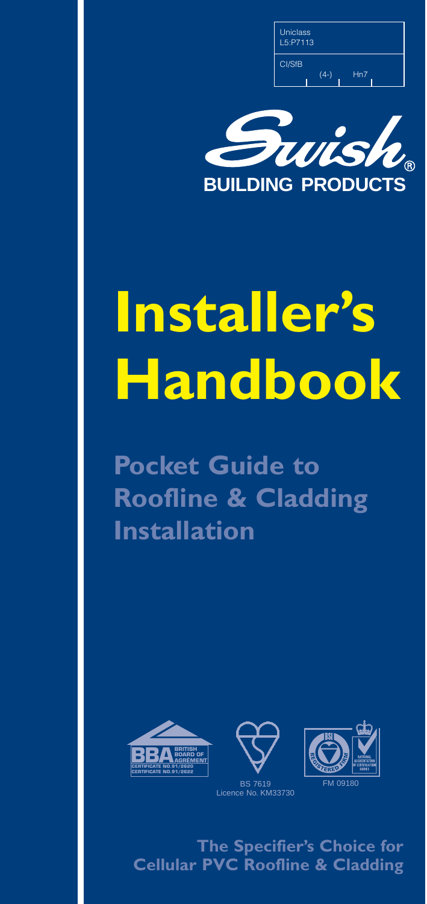

# **Installer's Handbook**

**Pocket Guide to Roofline & Cladding Installation** 





FM 09180

**The Specifier's Choice for Cellular PVC Roofline & Cladding**

Licence No. KM33730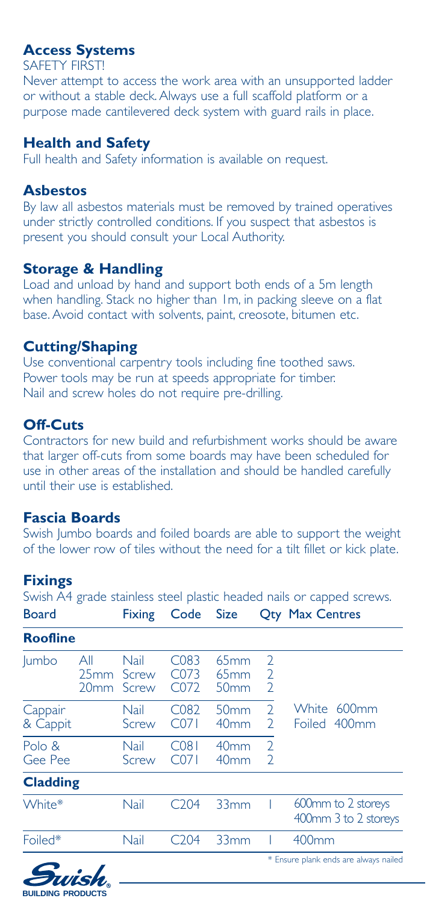## **Access Systems**

#### SAFETY FIRST!

Never attempt to access the work area with an unsupported ladder or without a stable deck. Always use a full scaffold platform or a purpose made cantilevered deck system with guard rails in place.

## **Health and Safety**

Full health and Safety information is available on request.

#### **Asbestos**

By law all asbestos materials must be removed by trained operatives under strictly controlled conditions. If you suspect that asbestos is present you should consult your Local Authority.

### **Storage & Handling**

Load and unload by hand and support both ends of a 5m length when handling. Stack no higher than 1m, in packing sleeve on a flat base. Avoid contact with solvents, paint, creosote, bitumen etc.

## **Cutting/Shaping**

Use conventional carpentry tools including fine toothed saws. Power tools may be run at speeds appropriate for timber. Nail and screw holes do not require pre-drilling.

# **Off-Cuts**

Contractors for new build and refurbishment works should be aware that larger off-cuts from some boards may have been scheduled for use in other areas of the installation and should be handled carefully until their use is established.

## **Fascia Boards**

Swish Jumbo boards and foiled boards are able to support the weight of the lower row of tiles without the need for a tilt fillet or kick plate.

## **Fixings**

| Swish A4 grade stainless steel plastic headed nails or capped screws. |                                 |                        |                                               |                                      |                                                    |                                            |
|-----------------------------------------------------------------------|---------------------------------|------------------------|-----------------------------------------------|--------------------------------------|----------------------------------------------------|--------------------------------------------|
| <b>Board</b>                                                          |                                 | <b>Fixing</b>          | Code Size                                     |                                      |                                                    | <b>Qty Max Centres</b>                     |
| <b>Roofline</b>                                                       |                                 |                        |                                               |                                      |                                                    |                                            |
| <b>lumbo</b>                                                          | All<br>25mm<br>20 <sub>mm</sub> | Nail<br>Screw<br>Screw | C <sub>0</sub> 83<br>C073<br>C <sub>072</sub> | 65mm<br>65mm<br>50 <sub>mm</sub>     | $\overline{2}$<br>$\overline{2}$<br>$\overline{2}$ |                                            |
| Cappair<br>& Cappit                                                   |                                 | Nail<br>Screw          | C <sub>082</sub><br>C071                      | 50 <sub>mm</sub><br>40 <sub>mm</sub> | $\overline{2}$<br>$\overline{2}$                   | White 600mm<br>Foiled 400mm                |
| Polo &<br>Gee Pee                                                     |                                 | Nail<br>Screw          | C <sub>081</sub><br>C <sub>071</sub>          | 40 <sub>mm</sub><br>40 <sub>mm</sub> | $\overline{2}$<br>$\overline{2}$                   |                                            |
| <b>Cladding</b>                                                       |                                 |                        |                                               |                                      |                                                    |                                            |
| White*                                                                |                                 | Nail                   | C <sub>204</sub>                              | 33mm                                 |                                                    | 600mm to 2 storeys<br>400mm 3 to 2 storeys |
| Foiled*                                                               |                                 | Nail                   | C <sub>204</sub>                              | 33mm                                 |                                                    | 400mm                                      |
|                                                                       |                                 |                        |                                               |                                      |                                                    | * Ensure plank ends are always nailed      |

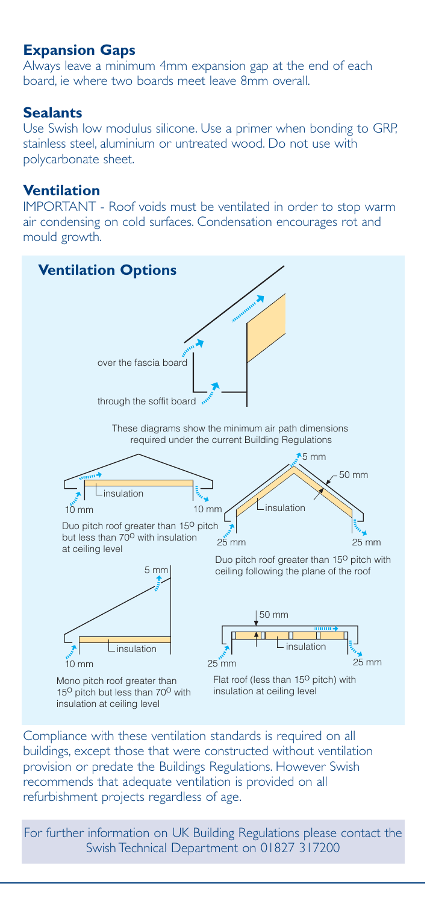## **Expansion Gaps**

Always leave a minimum 4mm expansion gap at the end of each board, ie where two boards meet leave 8mm overall.

#### **Sealants**

Use Swish low modulus silicone. Use a primer when bonding to GRP, stainless steel, aluminium or untreated wood. Do not use with polycarbonate sheet.

#### **Ventilation**

IMPORTANT - Roof voids must be ventilated in order to stop warm air condensing on cold surfaces. Condensation encourages rot and mould growth.



Compliance with these ventilation standards is required on all buildings, except those that were constructed without ventilation provision or predate the Buildings Regulations. However Swish recommends that adequate ventilation is provided on all refurbishment projects regardless of age.

For further information on UK Building Regulations please contact the Swish Technical Department on 01827 317200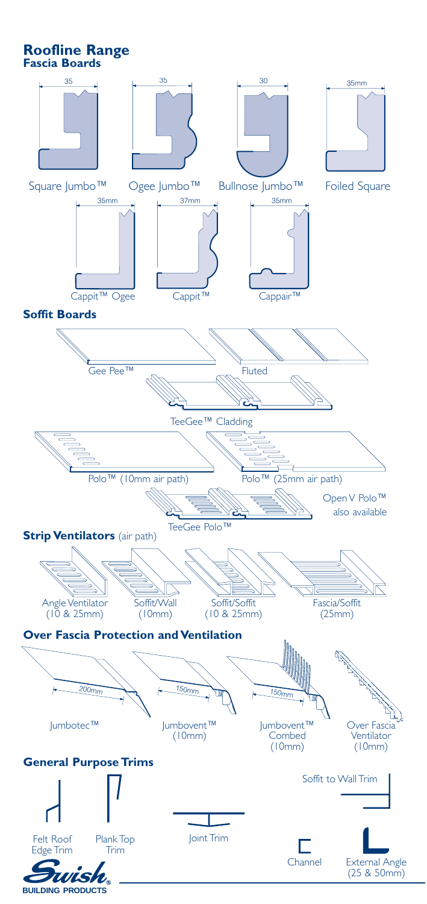**Roofline Range Fascia Boards**

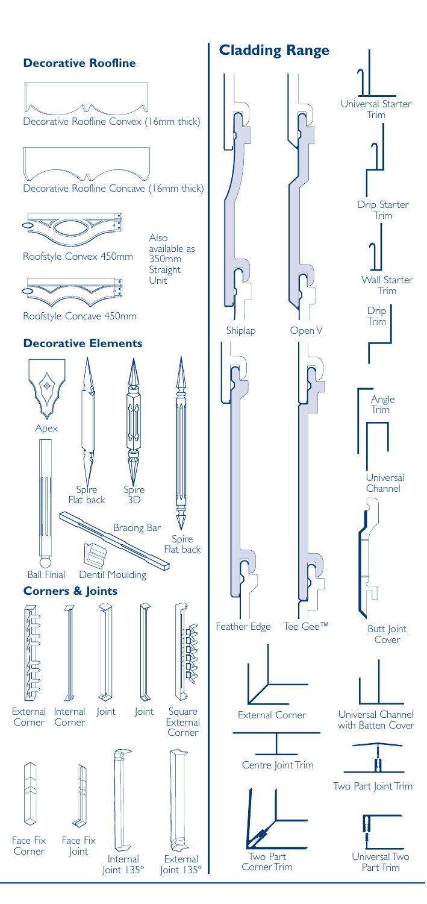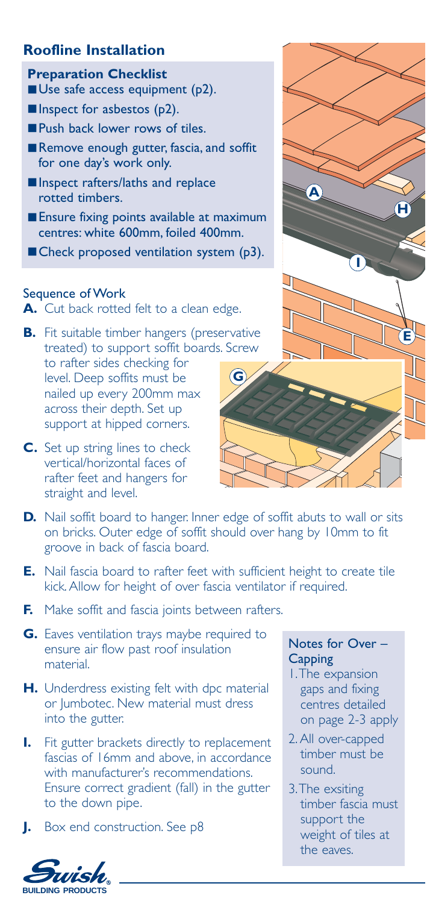## **Roofline Installation**

#### **Preparation Checklist**

■ Use safe access equipment (p2).

- Inspect for asbestos (p2).
- Push back lower rows of tiles.
- Remove enough gutter, fascia, and soffit for one day's work only.
- Inspect rafters/laths and replace rotted timbers.
- Ensure fixing points available at maximum centres: white 600mm, foiled 400mm.
- Check proposed ventilation system (p3).

#### Sequence of Work

**A.** Cut back rotted felt to a clean edge.

- **B.** Fit suitable timber hangers (preservative treated) to support soffit boards. Screw to rafter sides checking for level. Deep soffits must be nailed up every 200mm max across their depth. Set up support at hipped corners. **G**
- **C.** Set up string lines to check vertical/horizontal faces of rafter feet and hangers for straight and level.



- **D.** Nail soffit board to hanger. Inner edge of soffit abuts to wall or sits on bricks. Outer edge of soffit should over hang by 10mm to fit groove in back of fascia board.
- **E.** Nail fascia board to rafter feet with sufficient height to create tile kick. Allow for height of over fascia ventilator if required.
- **F.** Make soffit and fascia joints between rafters.
- **G.** Eaves ventilation trays maybe required to ensure air flow past roof insulation material.
- **H.** Underdress existing felt with dpc material or Jumbotec. New material must dress into the gutter.
- **I.** Fit gutter brackets directly to replacement fascias of 16mm and above, in accordance with manufacturer's recommendations. Ensure correct gradient (fall) in the gutter to the down pipe.
- **J.** Box end construction. See p8

### Notes for Over – **Capping**

- 1.The expansion gaps and fixing centres detailed on page 2-3 apply
- 2. All over-capped timber must be sound.
- 3.The exsiting timber fascia must support the weight of tiles at the eaves.

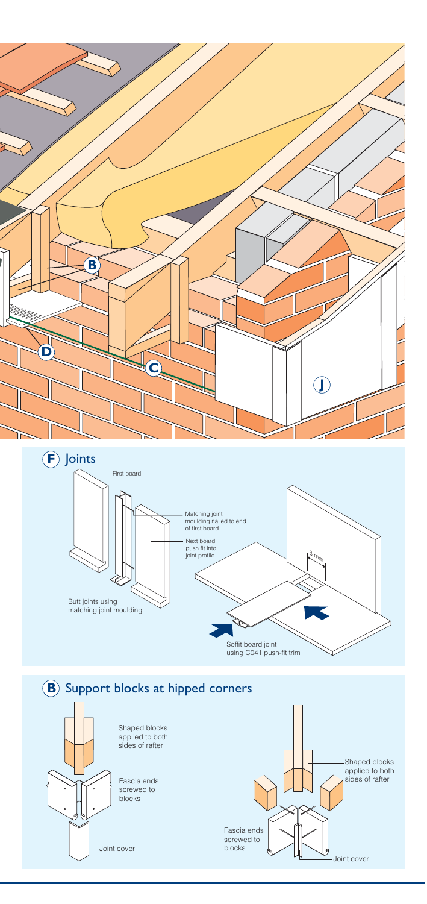



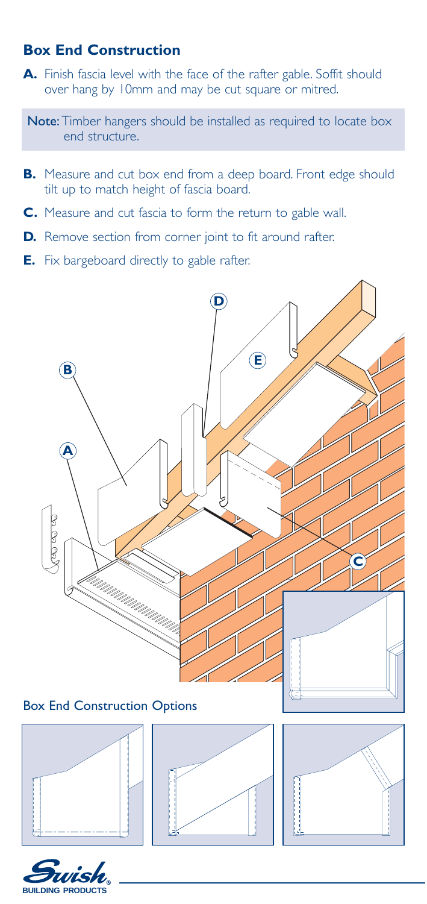## **Box End Construction**

**A.** Finish fascia level with the face of the rafter gable. Soffit should over hang by 10mm and may be cut square or mitred.

Note: Timber hangers should be installed as required to locate box end structure.

- **B.** Measure and cut box end from a deep board. Front edge should tilt up to match height of fascia board.
- **C.** Measure and cut fascia to form the return to gable wall.
- **D.** Remove section from corner joint to fit around rafter.
- **E.** Fix bargeboard directly to gable rafter.



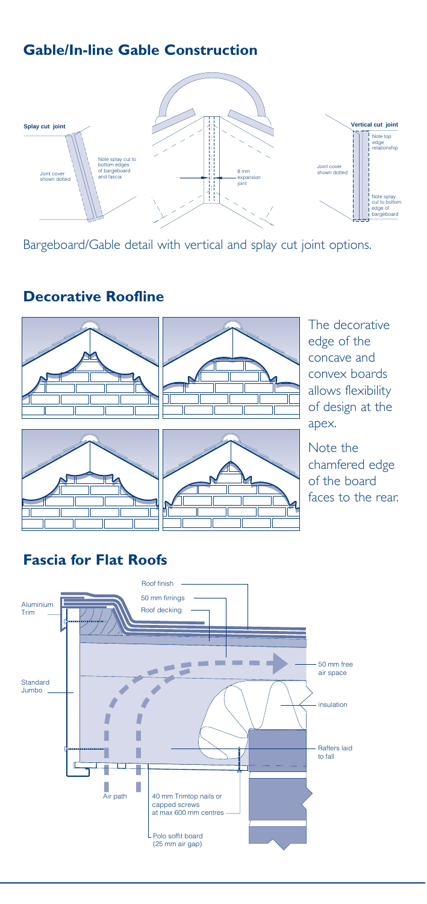# **Gable/In-line Gable Construction**



Bargeboard/Gable detail with vertical and splay cut joint options.

# **Decorative Roofline**





The decorative edge of the concave and convex boards allows flexibility of design at the apex.





Note the chamfered edge of the board faces to the rear.

# **Fascia for Flat Roofs**

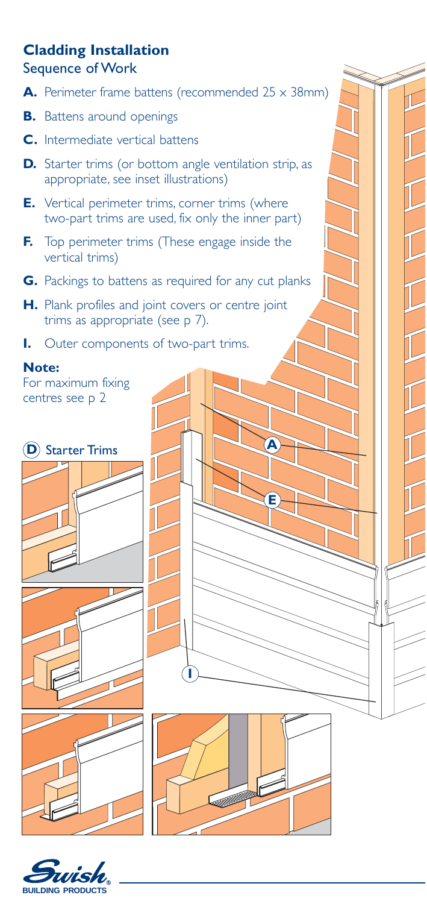## **Cladding Installation** Sequence of Work

- A. Perimeter frame battens (recommended 25 x 38mm)
- **B.** Battens around openings
- **C.** Intermediate vertical battens
- **D.** Starter trims (or bottom angle ventilation strip, as appropriate, see inset illustrations)
- **E.** Vertical perimeter trims, corner trims (where two-part trims are used, fix only the inner part)
- **F.** Top perimeter trims (These engage inside the vertical trims)
- **G.** Packings to battens as required for any cut planks
- **H.** Plank profiles and joint covers or centre joint trims as appropriate (see p 7).
- **I.** Outer components of two-part trims.

### **Note:**

For maximum fixing centres see p 2

**D** Starter Trims











**E**

**A**

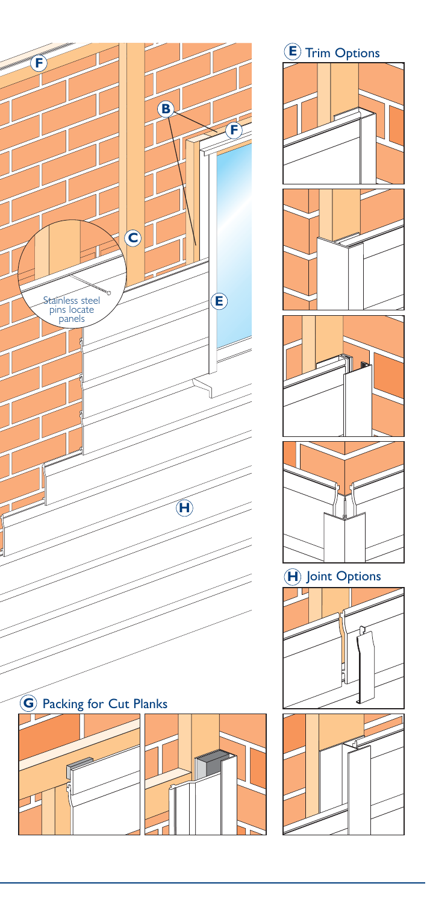